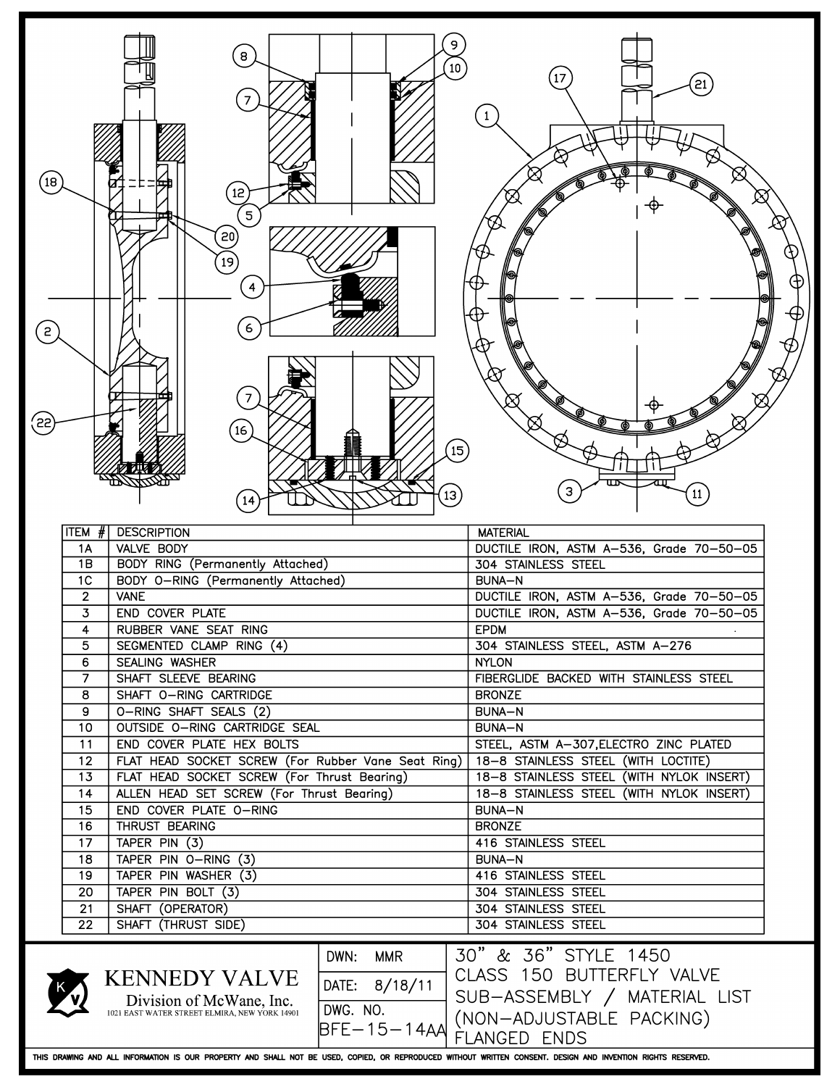| $\left( 18\right)$<br>$\left[ 2 \right]$<br>(55) |                                  | 9<br>$\bf{8}$<br>10<br>12<br>5<br>$\left[20\right]$<br>$\left[19\right]$<br>$\overline{4}$<br>6<br>7<br>(16)<br>15<br>$\left[13\right]$                      | 17<br>$\left[ 21\right]$<br>3<br>$\boxed{11}$                                                                                 |
|--------------------------------------------------|----------------------------------|--------------------------------------------------------------------------------------------------------------------------------------------------------------|-------------------------------------------------------------------------------------------------------------------------------|
|                                                  | $ TEM \# $                       | <b>DESCRIPTION</b>                                                                                                                                           | <b>MATERIAL</b>                                                                                                               |
|                                                  | 1A                               | VALVE BODY                                                                                                                                                   | DUCTILE IRON, ASTM A-536, Grade 70-50-05                                                                                      |
|                                                  | 1B                               | BODY RING (Permanently Attached)                                                                                                                             | 304 STAINLESS STEEL                                                                                                           |
|                                                  | 1 <sup>C</sup><br>$\overline{2}$ | BODY O-RING (Permanently Attached)<br><b>VANE</b>                                                                                                            | BUNA-N<br>DUCTILE IRON, ASTM A-536, Grade 70-50-05                                                                            |
|                                                  | 3                                | END COVER PLATE                                                                                                                                              | DUCTILE IRON, ASTM A-536, Grade 70-50-05                                                                                      |
|                                                  | 4                                | RUBBER VANE SEAT RING                                                                                                                                        | <b>EPDM</b>                                                                                                                   |
|                                                  | 5                                | SEGMENTED CLAMP RING (4)                                                                                                                                     | 304 STAINLESS STEEL, ASTM A-276                                                                                               |
|                                                  | 6                                | SEALING WASHER                                                                                                                                               | <b>NYLON</b>                                                                                                                  |
|                                                  | 7                                | SHAFT SLEEVE BEARING                                                                                                                                         | FIBERGLIDE BACKED WITH STAINLESS STEEL                                                                                        |
|                                                  | 8                                | SHAFT O-RING CARTRIDGE                                                                                                                                       | <b>BRONZE</b>                                                                                                                 |
|                                                  | 9                                | O-RING SHAFT SEALS (2)                                                                                                                                       | BUNA-N                                                                                                                        |
|                                                  | 10                               | OUTSIDE O-RING CARTRIDGE SEAL                                                                                                                                | BUNA-N                                                                                                                        |
|                                                  | 11                               | END COVER PLATE HEX BOLTS                                                                                                                                    | STEEL, ASTM A-307, ELECTRO ZINC PLATED                                                                                        |
|                                                  | 12<br>13                         | FLAT HEAD SOCKET SCREW (For Rubber Vane Seat Ring)<br>FLAT HEAD SOCKET SCREW (For Thrust Bearing)                                                            | 18-8 STAINLESS STEEL (WITH LOCTITE)<br>18-8 STAINLESS STEEL (WITH NYLOK INSERT)                                               |
|                                                  | 14                               | ALLEN HEAD SET SCREW (For Thrust Bearing)                                                                                                                    | 18-8 STAINLESS STEEL (WITH NYLOK INSERT)                                                                                      |
|                                                  | 15                               | END COVER PLATE O-RING                                                                                                                                       | <b>BUNA-N</b>                                                                                                                 |
|                                                  | 16                               | THRUST BEARING                                                                                                                                               | <b>BRONZE</b>                                                                                                                 |
|                                                  | 17                               | TAPER PIN (3)                                                                                                                                                | 416 STAINLESS STEEL                                                                                                           |
|                                                  | 18                               | TAPER PIN O-RING (3)                                                                                                                                         | <b>BUNA-N</b>                                                                                                                 |
|                                                  | 19                               | TAPER PIN WASHER (3)                                                                                                                                         | 416 STAINLESS STEEL                                                                                                           |
|                                                  | 20                               | TAPER PIN BOLT (3)                                                                                                                                           | 304 STAINLESS STEEL                                                                                                           |
|                                                  | 21                               | SHAFT (OPERATOR)                                                                                                                                             | 304 STAINLESS STEEL                                                                                                           |
|                                                  | 22                               | SHAFT (THRUST SIDE)                                                                                                                                          | 304 STAINLESS STEEL                                                                                                           |
|                                                  |                                  | DWN: MMR<br><b>KENNEDY VALVE</b><br>DATE: 8/18/11<br>DWG. NO.<br>BFE-15-14AA<br>Division of McWane, Inc.<br>1021 EAST WATER STREET ELMIRA, NEW YORK 14901    | 30" & 36" STYLE 1450<br>CLASS 150 BUTTERFLY VALVE<br>SUB-ASSEMBLY / MATERIAL LIST<br>(NON-ADJUSTABLE PACKING)<br>FLANGED ENDS |
|                                                  |                                  | THIS DRAWING AND ALL INFORMATION IS OUR PROPERTY AND SHALL NOT BE USED, COPIED, OR REPRODUCED WITHOUT WRITTEN CONSENT. DESIGN AND INVENTION RIGHTS RESERVED. |                                                                                                                               |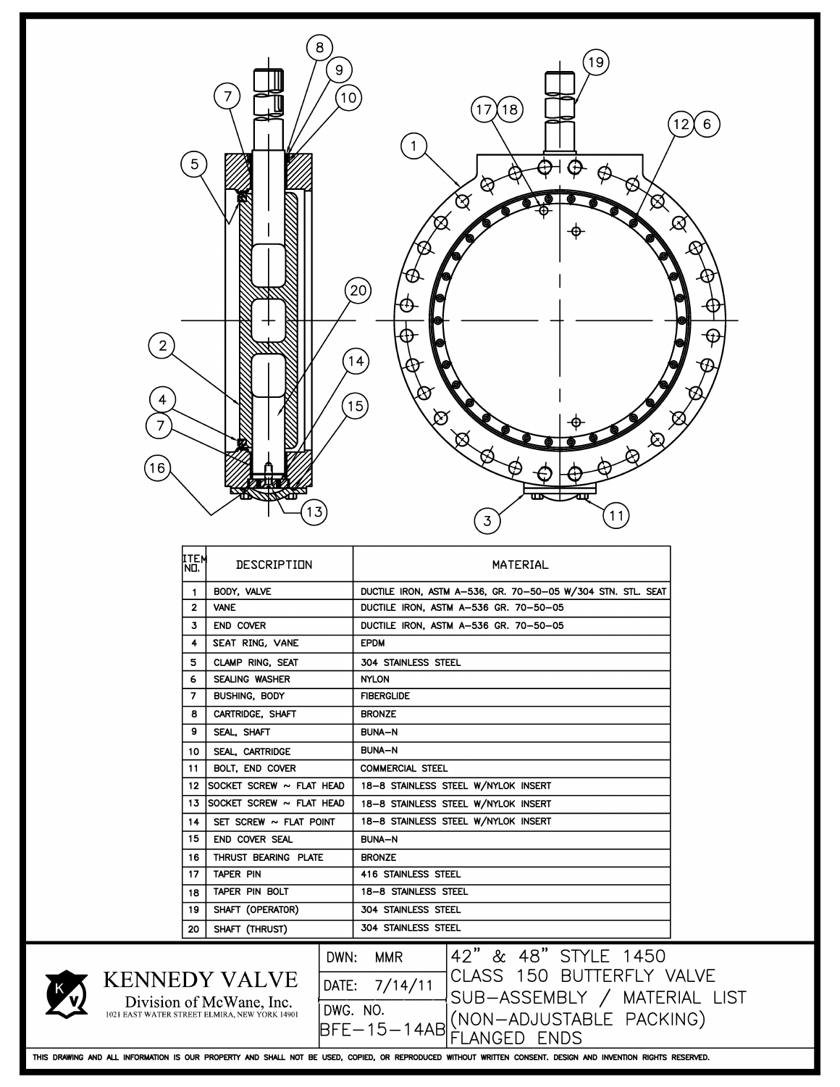| 5<br>$\overline{2}$<br>16                                                                         | 8<br>9                       | 19<br>10<br>18<br>17<br>6<br>ଓ୍<br>প্ৰে<br>$\varnothing$<br>[20]<br>15<br>সৈ<br>11<br>3                                                                                                                                                                                                                               |  |  |  |  |  |  |
|---------------------------------------------------------------------------------------------------|------------------------------|-----------------------------------------------------------------------------------------------------------------------------------------------------------------------------------------------------------------------------------------------------------------------------------------------------------------------|--|--|--|--|--|--|
| ITEM<br>NO.                                                                                       | DESCRIPTION                  | MATERIAL                                                                                                                                                                                                                                                                                                              |  |  |  |  |  |  |
| -1                                                                                                | BODY, VALVE                  | DUCTILE IRON, ASTM A-536, GR. 70-50-05 W/304 STN. STL. SEAT                                                                                                                                                                                                                                                           |  |  |  |  |  |  |
| $\overline{2}$                                                                                    | <b>VANE</b>                  | DUCTILE IRON, ASTM A-536 GR. 70-50-05                                                                                                                                                                                                                                                                                 |  |  |  |  |  |  |
| 3<br>4                                                                                            | END COVER<br>SEAT RING, VANE | DUCTILE IRON, ASTM A-536 GR. 70-50-05<br><b>EPDM</b>                                                                                                                                                                                                                                                                  |  |  |  |  |  |  |
| 5                                                                                                 | CLAMP RING, SEAT             | 304 STAINLESS STEEL                                                                                                                                                                                                                                                                                                   |  |  |  |  |  |  |
| 6                                                                                                 | SEALING WASHER               | <b>NYLON</b>                                                                                                                                                                                                                                                                                                          |  |  |  |  |  |  |
| 7                                                                                                 | BUSHING, BODY                | <b>FIBERGLIDE</b>                                                                                                                                                                                                                                                                                                     |  |  |  |  |  |  |
| 8                                                                                                 | CARTRIDGE, SHAFT             | <b>BRONZE</b>                                                                                                                                                                                                                                                                                                         |  |  |  |  |  |  |
| 9                                                                                                 | SEAL, SHAFT                  | <b>BUNA-N</b>                                                                                                                                                                                                                                                                                                         |  |  |  |  |  |  |
| 10                                                                                                | SEAL, CARTRIDGE              | <b>BUNA-N</b>                                                                                                                                                                                                                                                                                                         |  |  |  |  |  |  |
| 11                                                                                                | BOLT, END COVER              | <b>COMMERCIAL STEEL</b>                                                                                                                                                                                                                                                                                               |  |  |  |  |  |  |
| 12                                                                                                | SOCKET SCREW ~ FLAT HEAD     | 18-8 STAINLESS STEEL W/NYLOK INSERT                                                                                                                                                                                                                                                                                   |  |  |  |  |  |  |
| 13                                                                                                | SOCKET SCREW ~ FLAT HEAD     | 18-8 STAINLESS STEEL W/NYLOK INSERT                                                                                                                                                                                                                                                                                   |  |  |  |  |  |  |
| 14                                                                                                | SET SCREW $\sim$ FLAT POINT  | 18-8 STAINLESS STEEL W/NYLOK INSERT                                                                                                                                                                                                                                                                                   |  |  |  |  |  |  |
| 15                                                                                                | END COVER SEAL               | <b>BUNA-N</b>                                                                                                                                                                                                                                                                                                         |  |  |  |  |  |  |
| THRUST BEARING PLATE<br><b>BRONZE</b><br>16                                                       |                              |                                                                                                                                                                                                                                                                                                                       |  |  |  |  |  |  |
| 17                                                                                                | TAPER PIN                    | <b>416 STAINLESS STEEL</b>                                                                                                                                                                                                                                                                                            |  |  |  |  |  |  |
| 18                                                                                                | TAPER PIN BOLT               | 18-8 STAINLESS STEEL                                                                                                                                                                                                                                                                                                  |  |  |  |  |  |  |
| 19                                                                                                | SHAFT (OPERATOR)             | 304 STAINLESS STEEL                                                                                                                                                                                                                                                                                                   |  |  |  |  |  |  |
| 20                                                                                                | SHAFT (THRUST)               | 304 STAINLESS STEEL                                                                                                                                                                                                                                                                                                   |  |  |  |  |  |  |
| <b>KENNEDY VALVE</b><br>Division of McWane, Inc.<br>1021 EAST WATER STREET ELMIRA, NEW YORK 14901 | DWN:                         | 42" & 48" STYLE 1450<br><b>MMR</b><br>CLASS 150 BUTTERFLY VALVE<br>DATE: 7/14/11<br>SUB-ASSEMBLY / MATERIAL LIST<br>DWG. NO. (NON-ADJUSTABLE PACKING)<br>THIS DRAWING AND ALL INFORMATION IS OUR PROPERTY AND SHALL NOT BE USED, COPIED, OR REPRODUCED WITHOUT WRITTEN CONSENT. DESIGN AND INVENTION RIGHTS RESERVED. |  |  |  |  |  |  |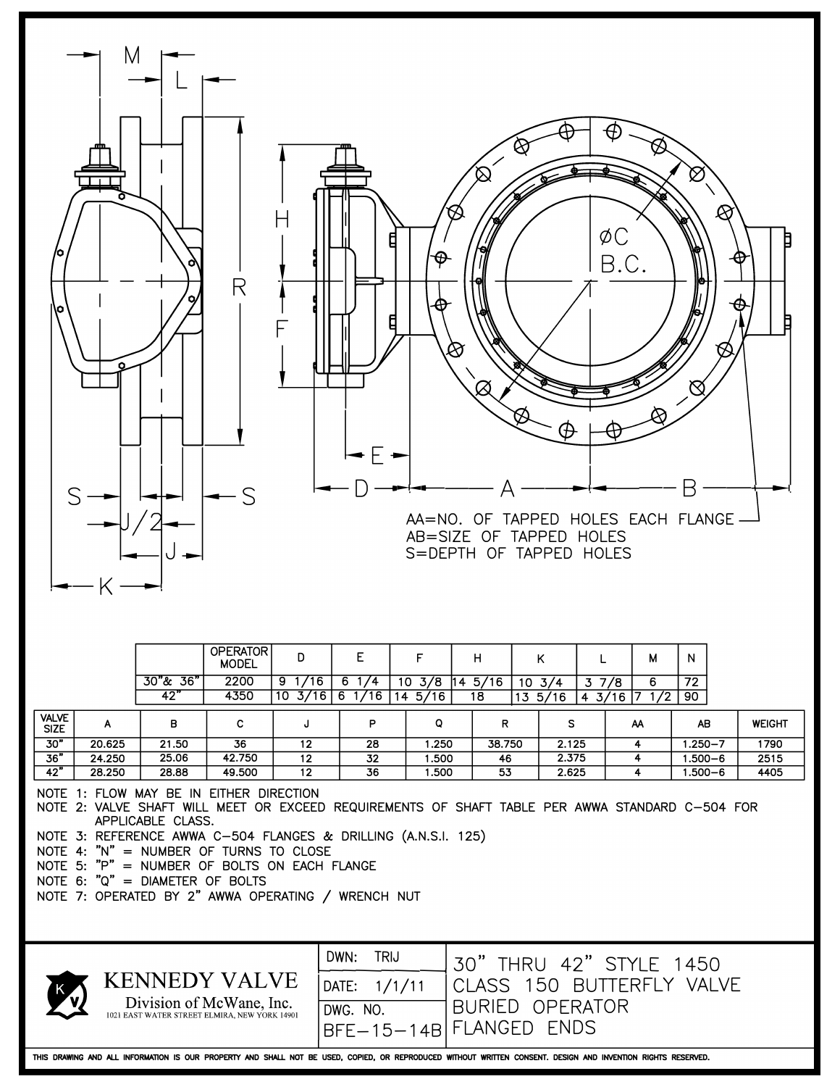

NOTE 3: REFERENCE AWWA C-504 FLANGES & DRILLING (A.N.S.I. 125)

NOTE 4: "N" = NUMBER OF TURNS TO CLOSE

NOTE 5: "p" **=** NUMBER OF BOLTS ON EACH FLANGE

NOTE 6: "Q" = DIAMETER OF BOLTS

NOTE 7: OPERATED BY 2" AWWA OPERATING / WRENCH NUT



| DWN: TRIJ 30" THRU 42" STYLE 1450<br>DATE: 1/1/11 CLASS 150 BUTTERFLY VALVE |
|-----------------------------------------------------------------------------|
|                                                                             |
| DWG. NO.   <br>BFE-15-14B FLANGED ENDS                                      |

THIS DRAWING AND ALL INFORMATION IS OUR PROPERTY AND SHALL NOT BE USED, COPIED, OR REPRODUCED WITHOUT WRITTEN CONSENT. DESIGN AND INVENTION RIGHTS RESERVED.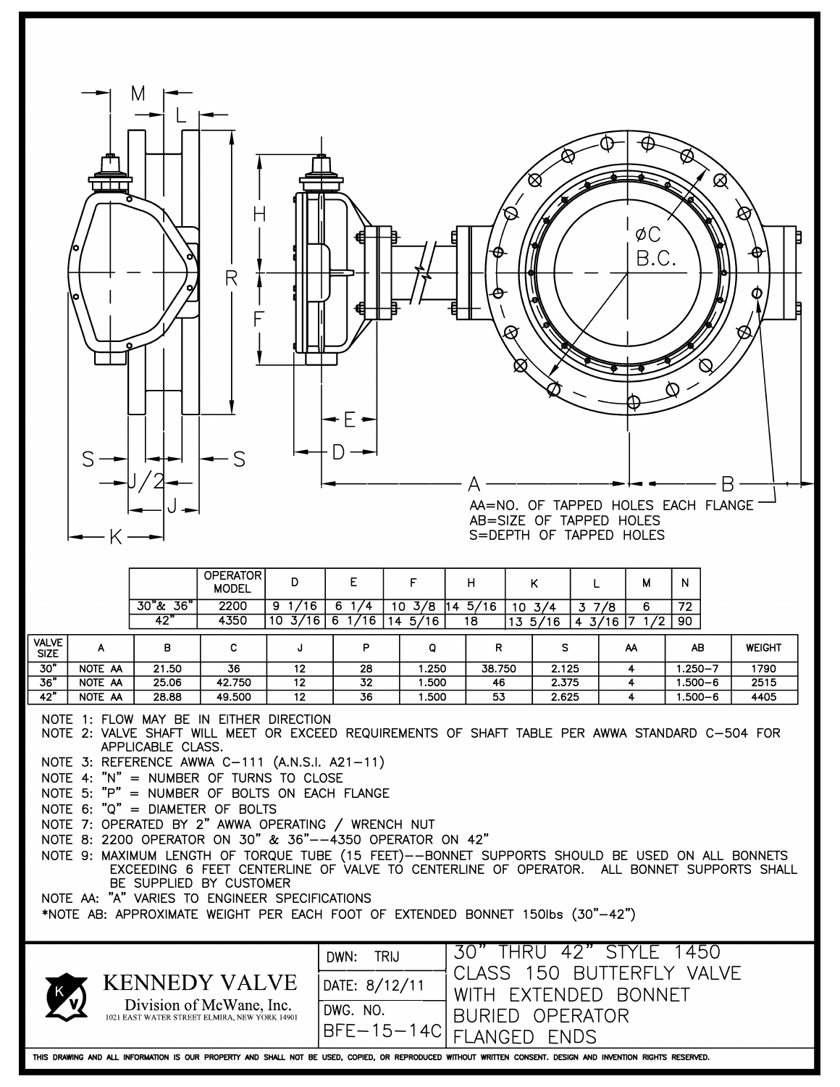

|                                                                                                                                                                                                                                                                                                                                                                                                                                                                                                                                                                                                                                                                                                                                                                                                                                                        |         |               | <b>OPERATOR</b><br><b>MODEL</b>                                                                   | D                                 | Ε                                                 | F                |  | H                                                                                                       |  | K                          |      | М                                             | N           |               |
|--------------------------------------------------------------------------------------------------------------------------------------------------------------------------------------------------------------------------------------------------------------------------------------------------------------------------------------------------------------------------------------------------------------------------------------------------------------------------------------------------------------------------------------------------------------------------------------------------------------------------------------------------------------------------------------------------------------------------------------------------------------------------------------------------------------------------------------------------------|---------|---------------|---------------------------------------------------------------------------------------------------|-----------------------------------|---------------------------------------------------|------------------|--|---------------------------------------------------------------------------------------------------------|--|----------------------------|------|-----------------------------------------------|-------------|---------------|
|                                                                                                                                                                                                                                                                                                                                                                                                                                                                                                                                                                                                                                                                                                                                                                                                                                                        |         | $30"$ & $36"$ | 2200                                                                                              | $9 \frac{1}{16}$                  | $6 \frac{1}{4}$                                   | $10 \frac{3}{8}$ |  | 145/16                                                                                                  |  | $\frac{10 \frac{3}{4}}{1}$ | 37/8 | 6                                             | 72          |               |
|                                                                                                                                                                                                                                                                                                                                                                                                                                                                                                                                                                                                                                                                                                                                                                                                                                                        |         | 42"           | 4350                                                                                              | $10\frac{3}{16}$ 6 $1/16$ 14 5/16 |                                                   |                  |  | 18                                                                                                      |  |                            |      | $13\;\;5/16\;\;$ 4 $\;\;3/16\;\;$ 7 $\;1/2\;$ | 90          |               |
| <b>VALVE</b><br><b>SIZE</b>                                                                                                                                                                                                                                                                                                                                                                                                                                                                                                                                                                                                                                                                                                                                                                                                                            | A       | в             | C                                                                                                 | J                                 | P                                                 | Q                |  | R                                                                                                       |  | s                          |      | ΑA                                            | AB          | <b>WEIGHT</b> |
| 30"                                                                                                                                                                                                                                                                                                                                                                                                                                                                                                                                                                                                                                                                                                                                                                                                                                                    | NOTE AA | 21.50         | 36                                                                                                | 12                                | 28                                                | 1.250            |  | 38.750                                                                                                  |  | 2.125                      |      | 4                                             | $1.250 - 7$ | 1790          |
| 36"                                                                                                                                                                                                                                                                                                                                                                                                                                                                                                                                                                                                                                                                                                                                                                                                                                                    | NOTE AA | 25.06         | 42.750                                                                                            | 12                                | 32                                                | 1.500            |  | 46                                                                                                      |  | 2.375                      |      | 4                                             | $1.500 - 6$ | 2515          |
| 42"                                                                                                                                                                                                                                                                                                                                                                                                                                                                                                                                                                                                                                                                                                                                                                                                                                                    | NOTE AA | 28.88         | 49.500                                                                                            | 12                                | 36                                                | 1.500            |  | 53                                                                                                      |  |                            |      | 4                                             |             | 4405          |
| 2.625<br>$1.500 - 6$<br>NOTE 1: FLOW MAY BE IN EITHER DIRECTION<br>NOTE 2: VALVE SHAFT WILL MEET OR EXCEED REQUIREMENTS OF SHAFT TABLE PER AWWA STANDARD C-504 FOR<br>APPLICABLE CLASS.<br>NOTE 3: REFERENCE AWWA C-111 (A.N.S.I. A21-11)<br>NOTE 4: "N" = NUMBER OF TURNS TO CLOSE<br>NOTE 5: "P" = NUMBER OF BOLTS ON EACH FLANGE<br>NOTE 6: "Q" = DIAMETER OF BOLTS<br>NOTE 7: OPERATED BY 2" AWWA OPERATING / WRENCH NUT<br>NOTE 8: 2200 OPERATOR ON 30" & 36"--4350 OPERATOR ON 42"<br>NOTE 9: MAXIMUM LENGTH OF TORQUE TUBE (15 FEET)--BONNET SUPPORTS SHOULD BE USED ON ALL BONNETS<br>EXCEEDING 6 FEET CENTERLINE OF VALVE TO CENTERLINE OF OPERATOR. ALL BONNET SUPPORTS SHALL<br>BE SUPPLIED BY CUSTOMER<br>NOTE AA: "A" VARIES TO ENGINEER SPECIFICATIONS<br>*NOTE AB: APPROXIMATE WEIGHT PER EACH FOOT OF EXTENDED BONNET 150lbs (30"-42") |         |               |                                                                                                   |                                   |                                                   |                  |  |                                                                                                         |  |                            |      |                                               |             |               |
|                                                                                                                                                                                                                                                                                                                                                                                                                                                                                                                                                                                                                                                                                                                                                                                                                                                        |         |               | <b>KENNEDY VALVE</b><br>Division of McWane, Inc.<br>1021 EAST WATER STREET ELMIRA, NEW YORK 14901 |                                   | DWN:<br>DATE: 8/12/11<br>DWG. NO.<br>$BFE-15-14C$ | <b>TRIJ</b>      |  | 30" THRU 42" STYLE 1450<br><b>CLASS</b><br><b>WITH</b><br><b>BURIED OPERATOR</b><br><b>FLANGED ENDS</b> |  | 150                        |      | BUTTERFLY VALVE<br>EXTENDED BONNET            |             |               |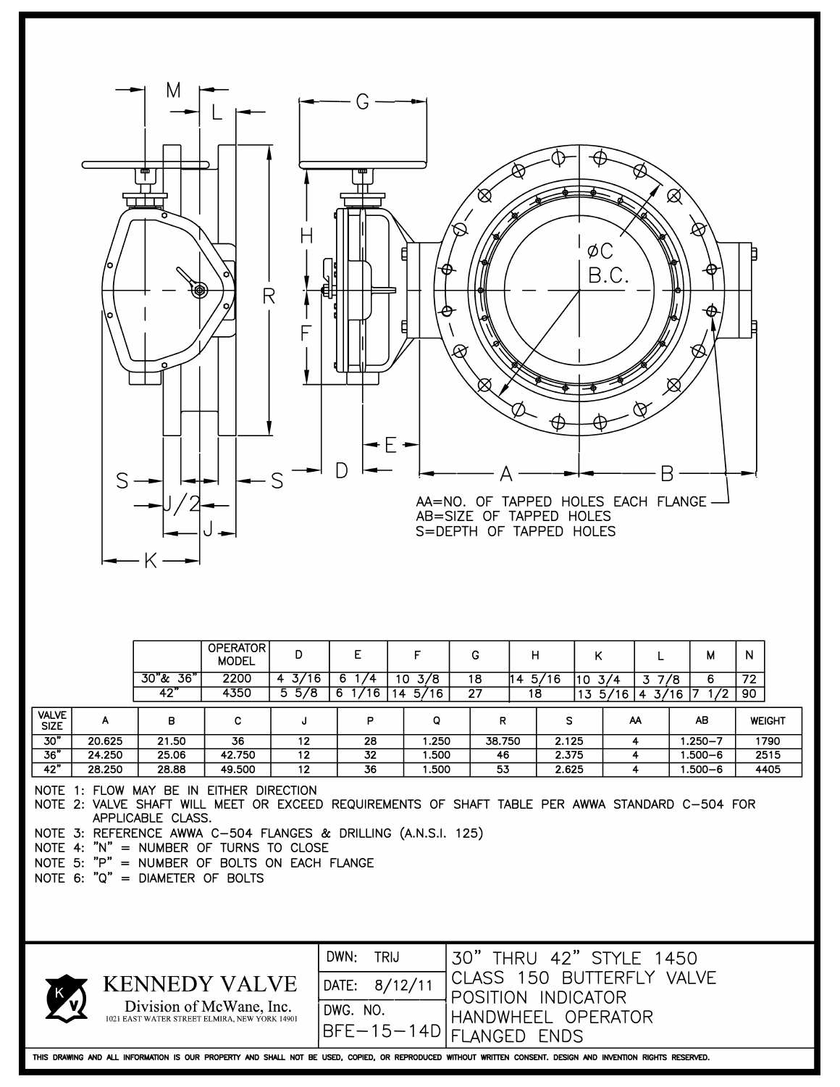| $\Box$<br>AA=NO. OF TAPPED HOLES EACH FLANGE-<br>AB=SIZE OF TAPPED HOLES<br>S=DEPTH OF TAPPED HOLES                                                                                                                                                                                                                                                            |                                                                  |                                                                     |                       |                                                                                                             |                       |                           |                            |                      |  |  |
|----------------------------------------------------------------------------------------------------------------------------------------------------------------------------------------------------------------------------------------------------------------------------------------------------------------------------------------------------------------|------------------------------------------------------------------|---------------------------------------------------------------------|-----------------------|-------------------------------------------------------------------------------------------------------------|-----------------------|---------------------------|----------------------------|----------------------|--|--|
| $30"$ & $36"$                                                                                                                                                                                                                                                                                                                                                  | <b>OPERATOR</b><br>D<br><b>MODEL</b><br>2200<br>$4 \frac{3}{16}$ | E<br>$6 \frac{1}{4}$                                                | F<br>$10 \frac{3}{8}$ | G<br>н<br>$14\frac{5}{16}$<br>18                                                                            | Κ<br>$10 \frac{3}{4}$ | L<br>37/8                 | М<br>6                     | N<br>$\overline{72}$ |  |  |
| 42"                                                                                                                                                                                                                                                                                                                                                            | 4350<br>$5\frac{5}{8}$                                           | $6 \frac{1}{16}$                                                    | 14.5/16               | 27<br>18                                                                                                    |                       | $13\;\;5/16$ 4 3/16 7 1/2 |                            | 90                   |  |  |
| <b>VALVE</b><br>в<br>A<br><b>SIZE</b>                                                                                                                                                                                                                                                                                                                          | C<br>J                                                           | P                                                                   | Q                     | R                                                                                                           | S                     | AA                        | AB                         | <b>WEIGHT</b>        |  |  |
| 30"<br>20.625<br>21.50                                                                                                                                                                                                                                                                                                                                         | 36<br>12                                                         | 28                                                                  | 1.250                 | 38.750                                                                                                      | 2.125                 | 4                         | $1.250 - 7$                | 1790                 |  |  |
| 36"<br>24.250<br>25.06<br>42"<br>28.250<br>28.88                                                                                                                                                                                                                                                                                                               | 42.750<br>12<br>49.500<br>12                                     | 32<br>36                                                            | 1.500<br>1.500        | 46<br>53                                                                                                    | 2.375<br>2.625        | 4<br>4                    | $1.500 - 6$<br>$1.500 - 6$ | 2515<br>4405         |  |  |
| NOTE 1: FLOW MAY BE IN EITHER DIRECTION<br>NOTE 2: VALVE SHAFT WILL MEET OR EXCEED REQUIREMENTS OF SHAFT TABLE PER AWWA STANDARD C-504 FOR<br>APPLICABLE CLASS.<br>NOTE 3: REFERENCE AWWA C-504 FLANGES & DRILLING (A.N.S.I. 125)<br>NOTE 4: "N" = NUMBER OF TURNS TO CLOSE<br>NOTE 5: "P" = NUMBER OF BOLTS ON EACH FLANGE<br>NOTE 6: "Q" = DIAMETER OF BOLTS |                                                                  |                                                                     |                       |                                                                                                             |                       |                           |                            |                      |  |  |
| <b>KENNEDY VALVE</b><br>1021 EAST WATER STREET ELMIRA, NEW YORK 14901                                                                                                                                                                                                                                                                                          | Division of McWane, Inc.                                         | DWN:<br><b>TRIJ</b><br>8/12/11<br>DATE:<br>DWG. NO.<br>$BFE-15-14D$ |                       | 30" THRU 42" STYLE 1450<br>CLASS 150 BUTTERFLY VALVE<br>POSITION INDICATOR<br>HANDWHEEL OPERATOR<br>FLANGED | <b>ENDS</b>           |                           |                            |                      |  |  |
| THIS DRAWING AND ALL INFORMATION IS OUR PROPERTY AND SHALL NOT BE USED, COPIED, OR REPRODUCED WITHOUT WRITTEN CONSENT. DESIGN AND INVENTION RIGHTS RESERVED.                                                                                                                                                                                                   |                                                                  |                                                                     |                       |                                                                                                             |                       |                           |                            |                      |  |  |

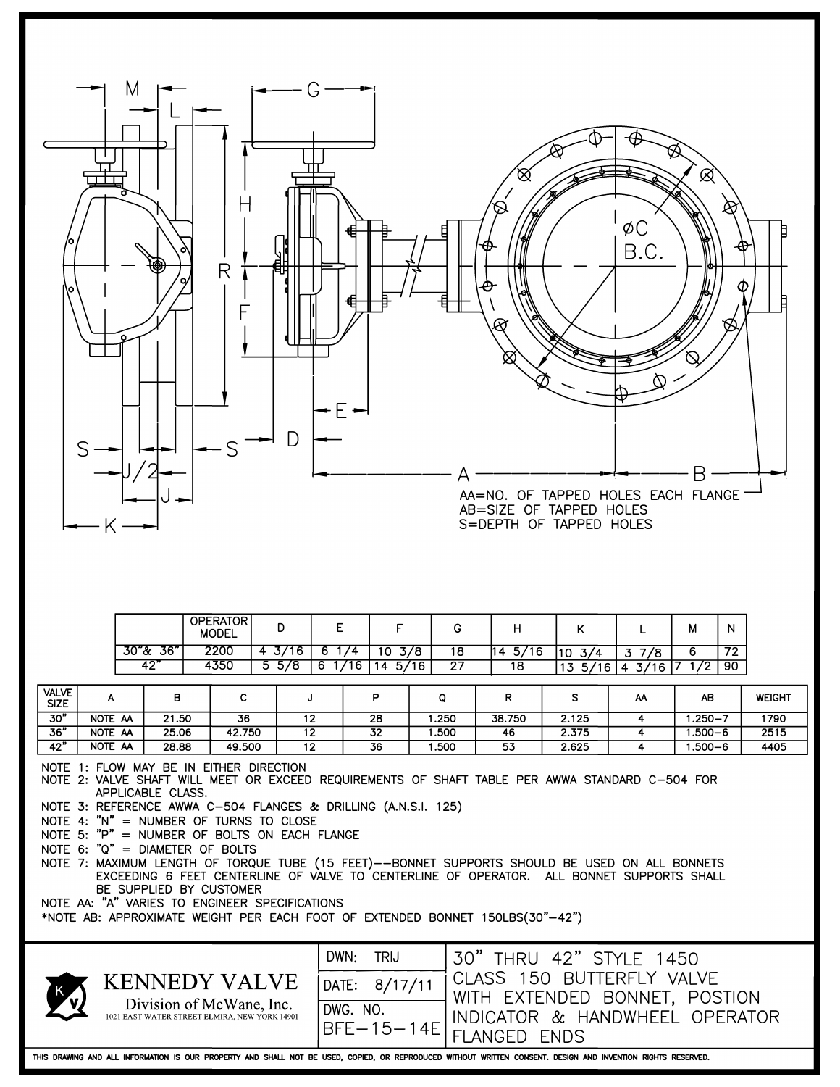| <b>OPERATOR</b><br>E<br>F<br>D<br>G<br>H<br>Κ<br>М<br>N<br>L<br><b>MODEL</b><br>30"& 36"<br>2200<br>$4 \frac{3}{16}$<br>$6 \frac{1}{4}$<br>$14 \frac{5}{16}$<br>$10 \frac{3}{8}$<br>18<br>$10 \frac{3}{4}$<br>72<br>37/8<br>6<br>42"<br>4350<br>$5\frac{5}{8}$<br>6 1/16<br>27<br>$14 \frac{5}{16}$<br>$13\;\;5/16$<br>$4 \frac{3}{16}$ 7<br>90<br>18<br>1/2<br>VALVE<br>в<br>С<br>P<br>Q<br>R<br>s<br><b>WEIGHT</b><br>J<br>AB<br>A<br>ΑA<br><b>SIZE</b><br>30"<br>NOTE AA<br>$1.250 - 7$<br>21.50<br>36<br>12<br>28<br>1.250<br>38.750<br>2.125<br>4<br>1790<br>36"<br>NOTE AA<br>42.750<br>25.06<br>32<br>2.375<br>12<br>1.500<br>46<br>4<br>$1.500 - 6$<br>2515<br>42"<br>NOTE AA<br>$1.500 - 6$<br>28.88<br>49.500<br>12<br>36<br>1.500<br>53<br>2.625<br>4405<br>4<br>NOTE 1: FLOW MAY BE IN EITHER DIRECTION<br>NOTE 2: VALVE SHAFT WILL MEET OR EXCEED REQUIREMENTS OF SHAFT TABLE PER AWWA STANDARD C-504 FOR<br>APPLICABLE CLASS.<br>NOTE 3: REFERENCE AWWA C-504 FLANGES & DRILLING (A.N.S.I. 125)<br>NOTE 4: "N" = NUMBER OF TURNS TO CLOSE<br>NOTE 5: "P" = NUMBER OF BOLTS ON EACH FLANGE<br>NOTE 6: "Q" = DIAMETER OF BOLTS<br>NOTE 7: MAXIMUM LENGTH OF TORQUE TUBE (15 FEET)--BONNET SUPPORTS SHOULD BE USED ON ALL BONNETS<br>EXCEEDING 6 FEET CENTERLINE OF VALVE TO CENTERLINE OF OPERATOR. ALL BONNET SUPPORTS SHALL<br>BE SUPPLIED BY CUSTOMER<br>NOTE AA: "A" VARIES TO ENGINEER SPECIFICATIONS<br>*NOTE AB: APPROXIMATE WEIGHT PER EACH FOOT OF EXTENDED BONNET 150LBS(30"-42")<br>DWN:<br><b>TRIJ</b><br>30" THRU 42" STYLE 1450<br>CLASS 150 BUTTERFLY VALVE<br><b>KENNEDY VALVE</b><br>DATE: 8/17/11<br>WITH EXTENDED BONNET, POSTION<br>Division of McWane, Inc.<br>DWG. NO.<br>INDICATOR & HANDWHEEL OPERATOR<br>1021 EAST WATER STREET ELMIRA, NEW YORK 14901<br>$BFE-15-14E$<br><b>FLANGED ENDS</b><br>THIS DRAWING AND ALL INFORMATION IS OUR PROPERTY AND SHALL NOT BE USED, COPIED, OR REPRODUCED WITHOUT WRITTEN CONSENT. DESIGN AND INVENTION RIGHTS RESERVED. | M |  | П<br>R |  |  |  | AB=SIZE OF TAPPED HOLES<br>S=DEPTH OF TAPPED HOLES |  | øС<br>B.C. | $\boxtimes$<br>Β<br>AA=NO. OF TAPPED HOLES EACH FLANGE |  |
|----------------------------------------------------------------------------------------------------------------------------------------------------------------------------------------------------------------------------------------------------------------------------------------------------------------------------------------------------------------------------------------------------------------------------------------------------------------------------------------------------------------------------------------------------------------------------------------------------------------------------------------------------------------------------------------------------------------------------------------------------------------------------------------------------------------------------------------------------------------------------------------------------------------------------------------------------------------------------------------------------------------------------------------------------------------------------------------------------------------------------------------------------------------------------------------------------------------------------------------------------------------------------------------------------------------------------------------------------------------------------------------------------------------------------------------------------------------------------------------------------------------------------------------------------------------------------------------------------------------------------------------------------------------------------------------------------------------------------------------------------------------------------------------------------------------------------------------------------------------------------------------------------------------------------------------------------------------------------------------------------|---|--|--------|--|--|--|----------------------------------------------------|--|------------|--------------------------------------------------------|--|
|                                                                                                                                                                                                                                                                                                                                                                                                                                                                                                                                                                                                                                                                                                                                                                                                                                                                                                                                                                                                                                                                                                                                                                                                                                                                                                                                                                                                                                                                                                                                                                                                                                                                                                                                                                                                                                                                                                                                                                                                    |   |  |        |  |  |  |                                                    |  |            |                                                        |  |
|                                                                                                                                                                                                                                                                                                                                                                                                                                                                                                                                                                                                                                                                                                                                                                                                                                                                                                                                                                                                                                                                                                                                                                                                                                                                                                                                                                                                                                                                                                                                                                                                                                                                                                                                                                                                                                                                                                                                                                                                    |   |  |        |  |  |  |                                                    |  |            |                                                        |  |
|                                                                                                                                                                                                                                                                                                                                                                                                                                                                                                                                                                                                                                                                                                                                                                                                                                                                                                                                                                                                                                                                                                                                                                                                                                                                                                                                                                                                                                                                                                                                                                                                                                                                                                                                                                                                                                                                                                                                                                                                    |   |  |        |  |  |  |                                                    |  |            |                                                        |  |
|                                                                                                                                                                                                                                                                                                                                                                                                                                                                                                                                                                                                                                                                                                                                                                                                                                                                                                                                                                                                                                                                                                                                                                                                                                                                                                                                                                                                                                                                                                                                                                                                                                                                                                                                                                                                                                                                                                                                                                                                    |   |  |        |  |  |  |                                                    |  |            |                                                        |  |
|                                                                                                                                                                                                                                                                                                                                                                                                                                                                                                                                                                                                                                                                                                                                                                                                                                                                                                                                                                                                                                                                                                                                                                                                                                                                                                                                                                                                                                                                                                                                                                                                                                                                                                                                                                                                                                                                                                                                                                                                    |   |  |        |  |  |  |                                                    |  |            |                                                        |  |
|                                                                                                                                                                                                                                                                                                                                                                                                                                                                                                                                                                                                                                                                                                                                                                                                                                                                                                                                                                                                                                                                                                                                                                                                                                                                                                                                                                                                                                                                                                                                                                                                                                                                                                                                                                                                                                                                                                                                                                                                    |   |  |        |  |  |  |                                                    |  |            |                                                        |  |
|                                                                                                                                                                                                                                                                                                                                                                                                                                                                                                                                                                                                                                                                                                                                                                                                                                                                                                                                                                                                                                                                                                                                                                                                                                                                                                                                                                                                                                                                                                                                                                                                                                                                                                                                                                                                                                                                                                                                                                                                    |   |  |        |  |  |  |                                                    |  |            |                                                        |  |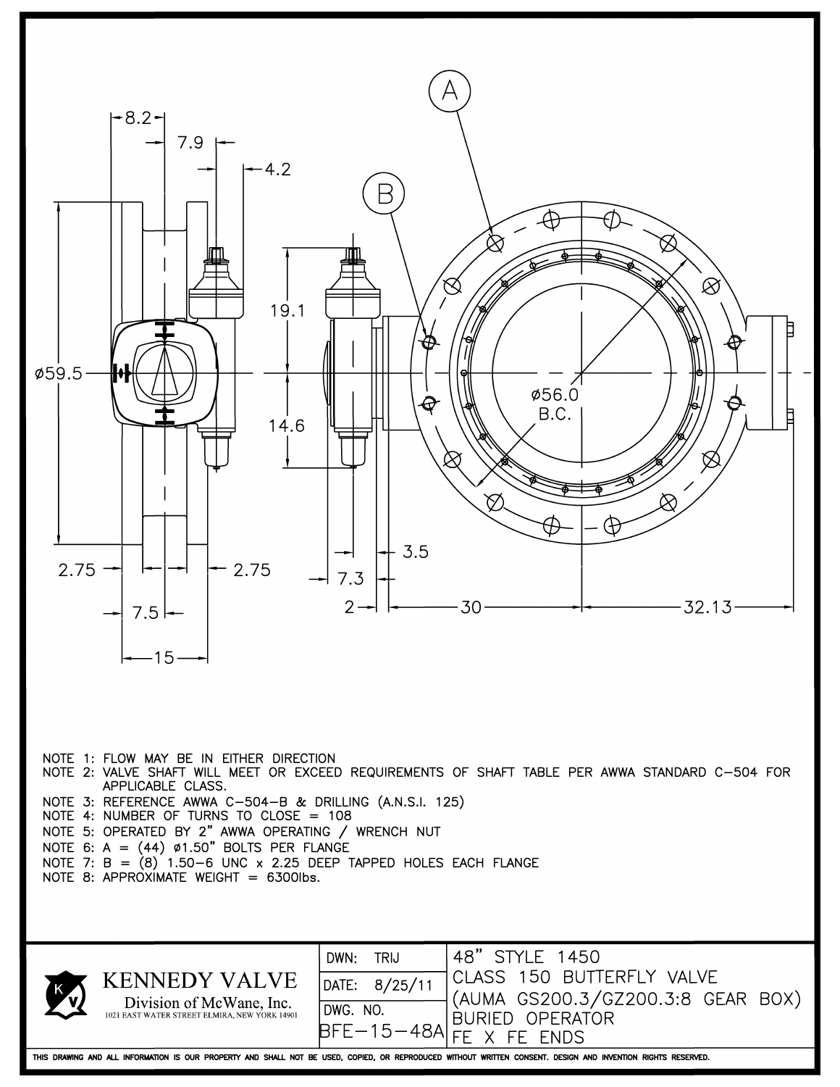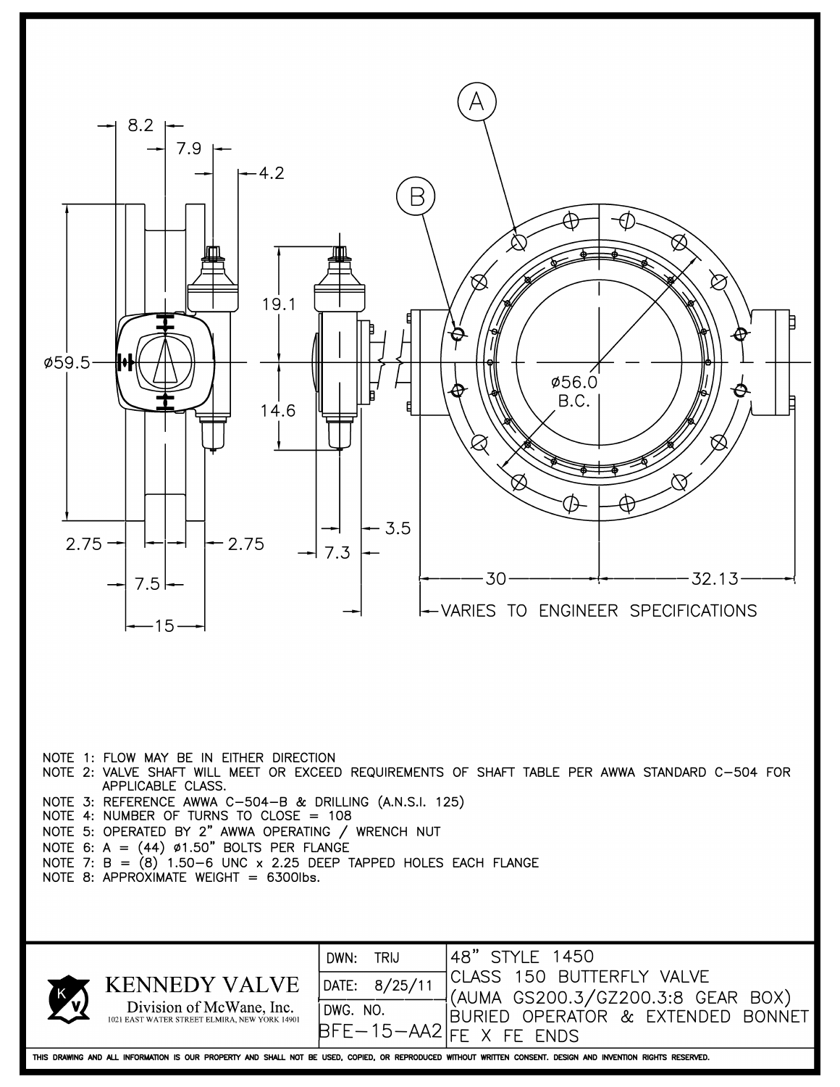

THIS DRAWING AND ALL INFORMATION IS OUR PROPERTY AND SHALL NOT BE USED, COPIED, OR REPRODUCED WITHOUT WRITTEN CONSENT. DESIGN AND INVENTION RIGHTS RESERVED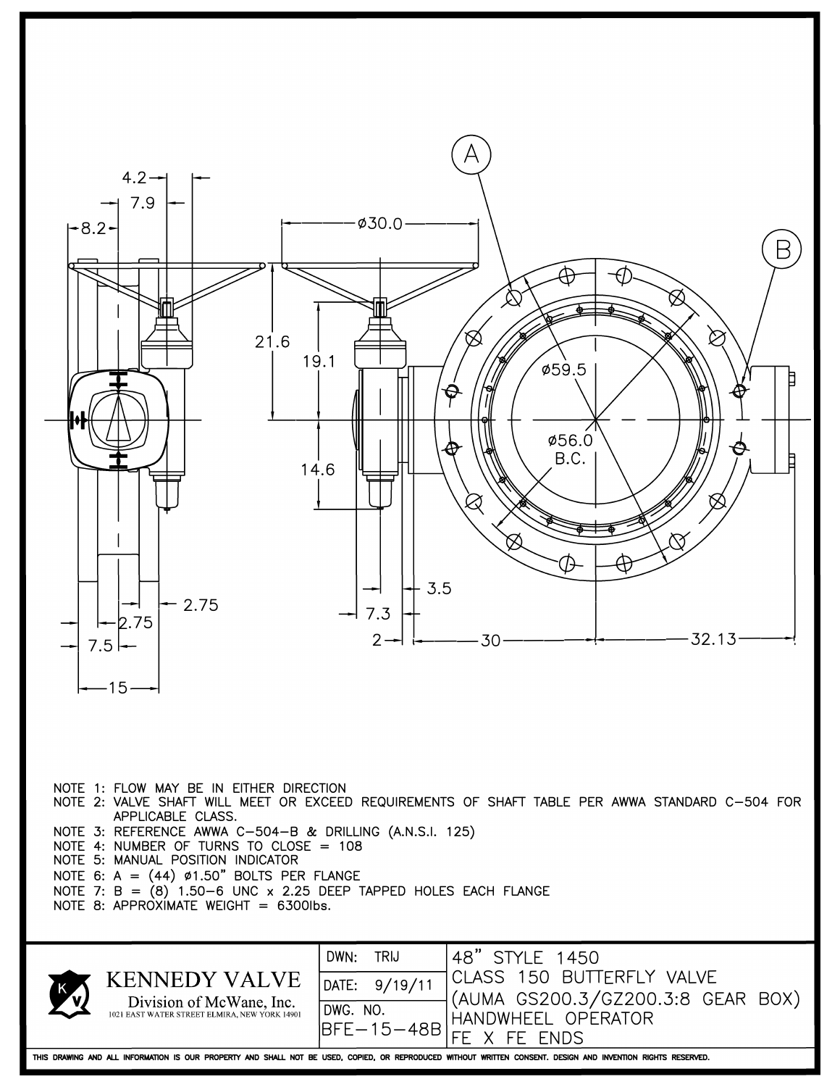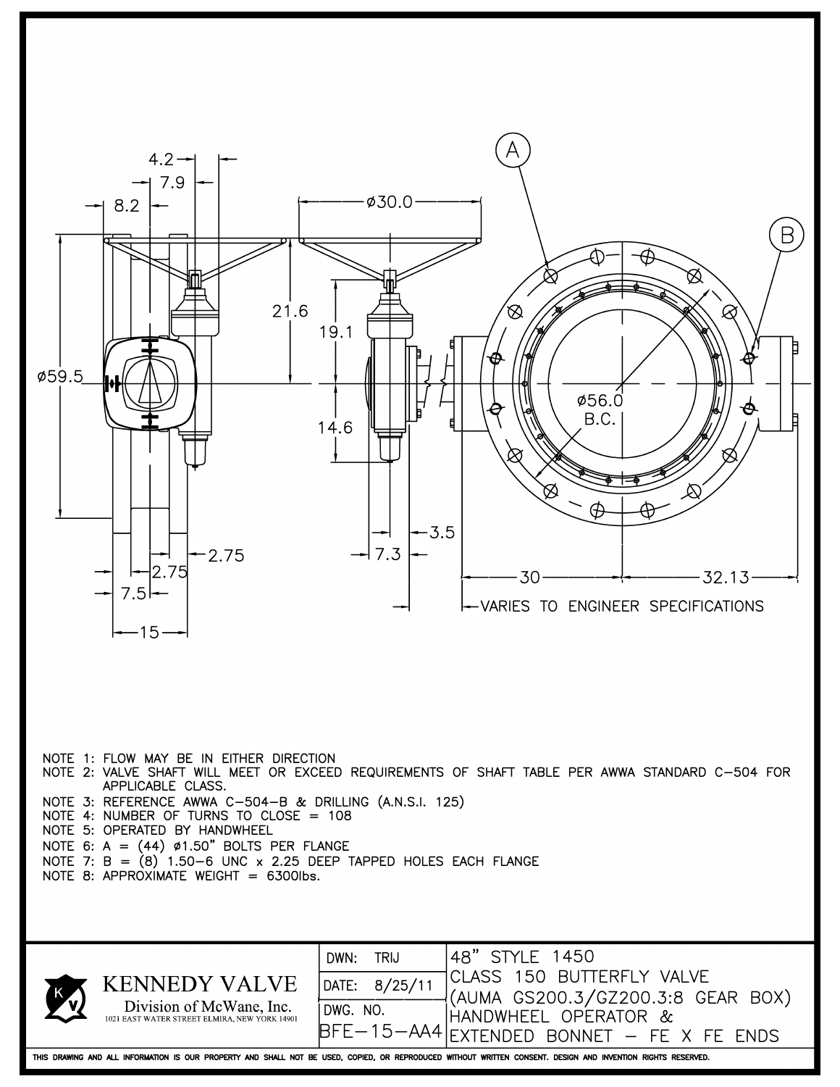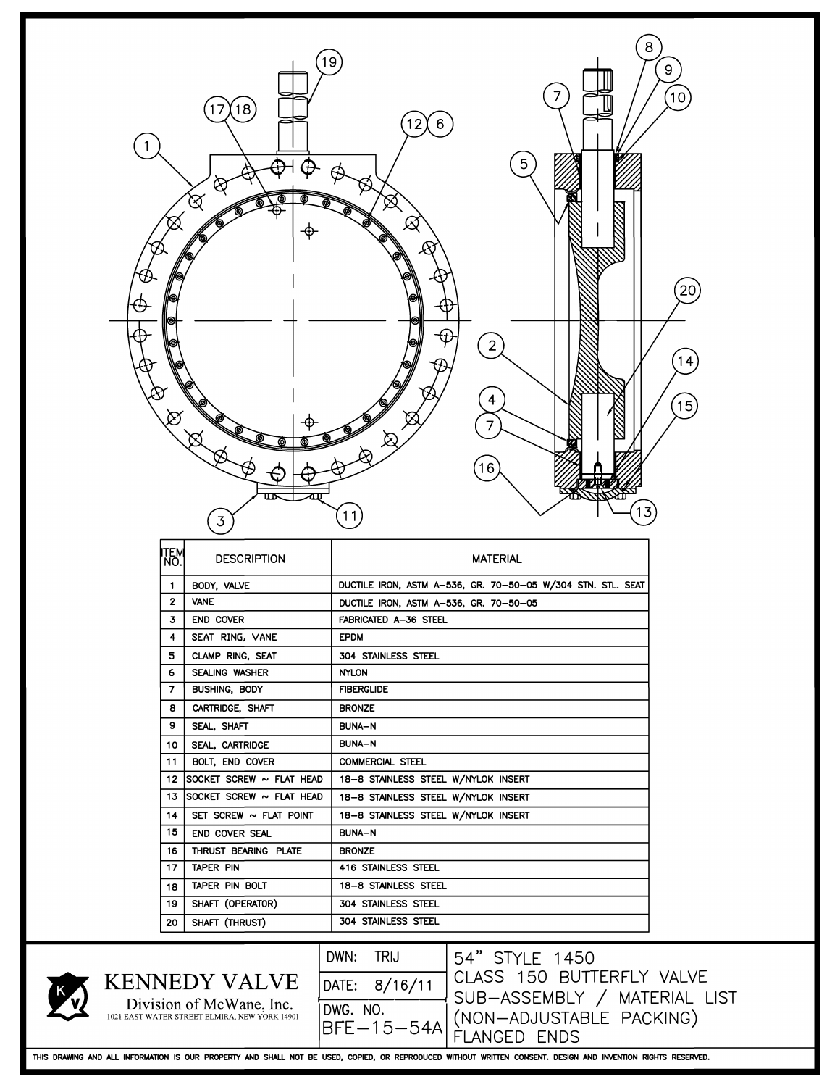